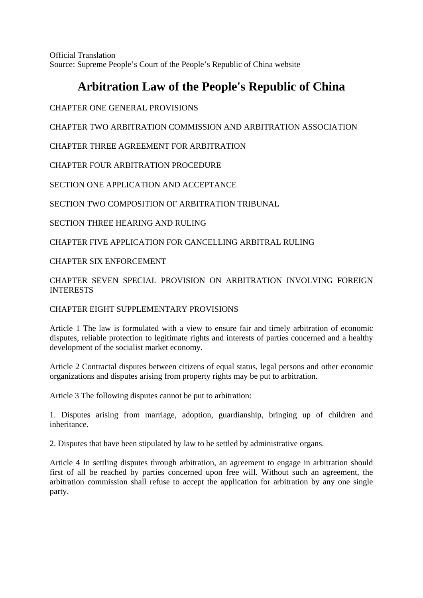Official Translation Source: Supreme People's Court of the People's Republic of China website

# **Arbitration Law of the People's Republic of China**

CHAPTER ONE GENERAL PROVISIONS

CHAPTER TWO ARBITRATION COMMISSION AND ARBITRATION ASSOCIATION

CHAPTER THREE AGREEMENT FOR ARBITRATION

CHAPTER FOUR ARBITRATION PROCEDURE

SECTION ONE APPLICATION AND ACCEPTANCE

SECTION TWO COMPOSITION OF ARBITRATION TRIBUNAL

SECTION THREE HEARING AND RULING

CHAPTER FIVE APPLICATION FOR CANCELLING ARBITRAL RULING

# CHAPTER SIX ENFORCEMENT

## CHAPTER SEVEN SPECIAL PROVISION ON ARBITRATION INVOLVING FOREIGN INTERESTS

# CHAPTER EIGHT SUPPLEMENTARY PROVISIONS

Article 1 The law is formulated with a view to ensure fair and timely arbitration of economic disputes, reliable protection to legitimate rights and interests of parties concerned and a healthy development of the socialist market economy.

Article 2 Contractal disputes between citizens of equal status, legal persons and other economic organizations and disputes arising from property rights may be put to arbitration.

Article 3 The following disputes cannot be put to arbitration:

1. Disputes arising from marriage, adoption, guardianship, bringing up of children and inheritance.

2. Disputes that have been stipulated by law to be settled by administrative organs.

Article 4 In settling disputes through arbitration, an agreement to engage in arbitration should first of all be reached by parties concerned upon free will. Without such an agreement, the arbitration commission shall refuse to accept the application for arbitration by any one single party.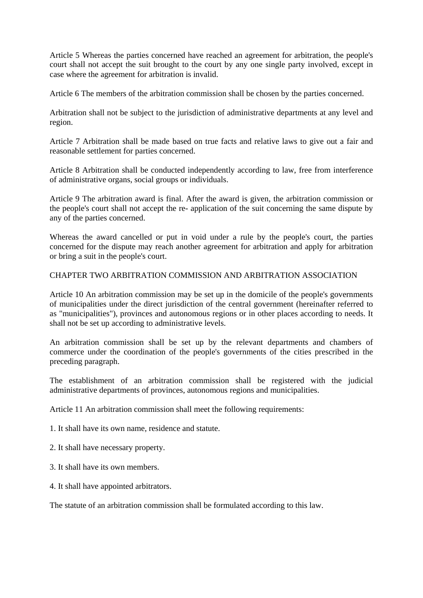Article 5 Whereas the parties concerned have reached an agreement for arbitration, the people's court shall not accept the suit brought to the court by any one single party involved, except in case where the agreement for arbitration is invalid.

Article 6 The members of the arbitration commission shall be chosen by the parties concerned.

Arbitration shall not be subject to the jurisdiction of administrative departments at any level and region.

Article 7 Arbitration shall be made based on true facts and relative laws to give out a fair and reasonable settlement for parties concerned.

Article 8 Arbitration shall be conducted independently according to law, free from interference of administrative organs, social groups or individuals.

Article 9 The arbitration award is final. After the award is given, the arbitration commission or the people's court shall not accept the re- application of the suit concerning the same dispute by any of the parties concerned.

Whereas the award cancelled or put in void under a rule by the people's court, the parties concerned for the dispute may reach another agreement for arbitration and apply for arbitration or bring a suit in the people's court.

### CHAPTER TWO ARBITRATION COMMISSION AND ARBITRATION ASSOCIATION

Article 10 An arbitration commission may be set up in the domicile of the people's governments of municipalities under the direct jurisdiction of the central government (hereinafter referred to as "municipalities"), provinces and autonomous regions or in other places according to needs. It shall not be set up according to administrative levels.

An arbitration commission shall be set up by the relevant departments and chambers of commerce under the coordination of the people's governments of the cities prescribed in the preceding paragraph.

The establishment of an arbitration commission shall be registered with the judicial administrative departments of provinces, autonomous regions and municipalities.

Article 11 An arbitration commission shall meet the following requirements:

1. It shall have its own name, residence and statute.

2. It shall have necessary property.

- 3. It shall have its own members.
- 4. It shall have appointed arbitrators.

The statute of an arbitration commission shall be formulated according to this law.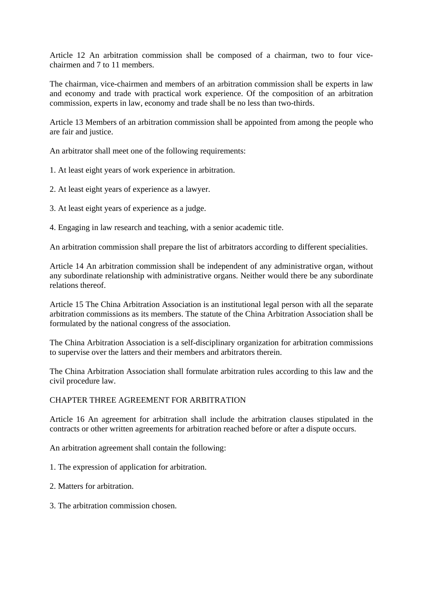Article 12 An arbitration commission shall be composed of a chairman, two to four vicechairmen and 7 to 11 members.

The chairman, vice-chairmen and members of an arbitration commission shall be experts in law and economy and trade with practical work experience. Of the composition of an arbitration commission, experts in law, economy and trade shall be no less than two-thirds.

Article 13 Members of an arbitration commission shall be appointed from among the people who are fair and justice.

An arbitrator shall meet one of the following requirements:

1. At least eight years of work experience in arbitration.

2. At least eight years of experience as a lawyer.

3. At least eight years of experience as a judge.

4. Engaging in law research and teaching, with a senior academic title.

An arbitration commission shall prepare the list of arbitrators according to different specialities.

Article 14 An arbitration commission shall be independent of any administrative organ, without any subordinate relationship with administrative organs. Neither would there be any subordinate relations thereof.

Article 15 The China Arbitration Association is an institutional legal person with all the separate arbitration commissions as its members. The statute of the China Arbitration Association shall be formulated by the national congress of the association.

The China Arbitration Association is a self-disciplinary organization for arbitration commissions to supervise over the latters and their members and arbitrators therein.

The China Arbitration Association shall formulate arbitration rules according to this law and the civil procedure law.

#### CHAPTER THREE AGREEMENT FOR ARBITRATION

Article 16 An agreement for arbitration shall include the arbitration clauses stipulated in the contracts or other written agreements for arbitration reached before or after a dispute occurs.

An arbitration agreement shall contain the following:

1. The expression of application for arbitration.

- 2. Matters for arbitration.
- 3. The arbitration commission chosen.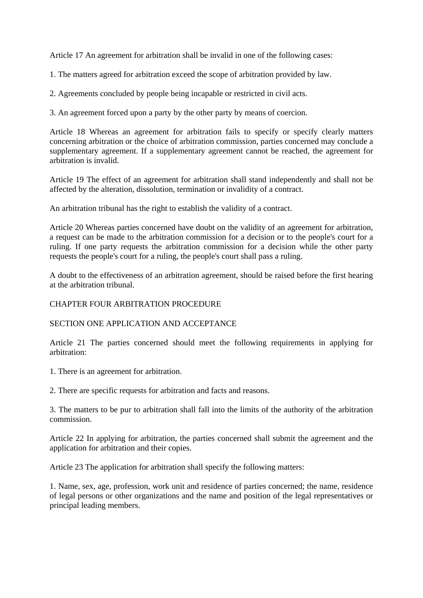Article 17 An agreement for arbitration shall be invalid in one of the following cases:

1. The matters agreed for arbitration exceed the scope of arbitration provided by law.

2. Agreements concluded by people being incapable or restricted in civil acts.

3. An agreement forced upon a party by the other party by means of coercion.

Article 18 Whereas an agreement for arbitration fails to specify or specify clearly matters concerning arbitration or the choice of arbitration commission, parties concerned may conclude a supplementary agreement. If a supplementary agreement cannot be reached, the agreement for arbitration is invalid.

Article 19 The effect of an agreement for arbitration shall stand independently and shall not be affected by the alteration, dissolution, termination or invalidity of a contract.

An arbitration tribunal has the right to establish the validity of a contract.

Article 20 Whereas parties concerned have doubt on the validity of an agreement for arbitration, a request can be made to the arbitration commission for a decision or to the people's court for a ruling. If one party requests the arbitration commission for a decision while the other party requests the people's court for a ruling, the people's court shall pass a ruling.

A doubt to the effectiveness of an arbitration agreement, should be raised before the first hearing at the arbitration tribunal.

#### CHAPTER FOUR ARBITRATION PROCEDURE

SECTION ONE APPLICATION AND ACCEPTANCE

Article 21 The parties concerned should meet the following requirements in applying for arbitration:

1. There is an agreement for arbitration.

2. There are specific requests for arbitration and facts and reasons.

3. The matters to be pur to arbitration shall fall into the limits of the authority of the arbitration commission.

Article 22 In applying for arbitration, the parties concerned shall submit the agreement and the application for arbitration and their copies.

Article 23 The application for arbitration shall specify the following matters:

1. Name, sex, age, profession, work unit and residence of parties concerned; the name, residence of legal persons or other organizations and the name and position of the legal representatives or principal leading members.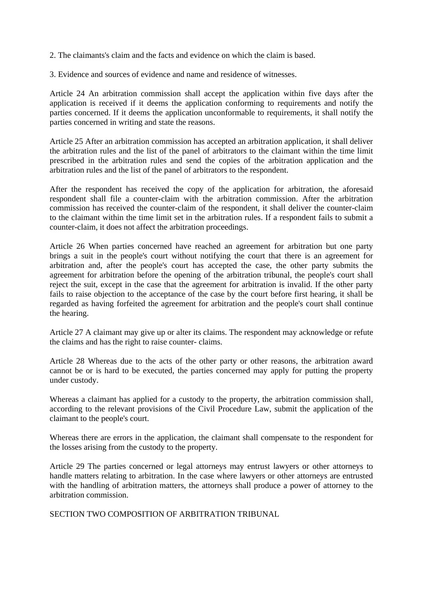2. The claimants's claim and the facts and evidence on which the claim is based.

3. Evidence and sources of evidence and name and residence of witnesses.

Article 24 An arbitration commission shall accept the application within five days after the application is received if it deems the application conforming to requirements and notify the parties concerned. If it deems the application unconformable to requirements, it shall notify the parties concerned in writing and state the reasons.

Article 25 After an arbitration commission has accepted an arbitration application, it shall deliver the arbitration rules and the list of the panel of arbitrators to the claimant within the time limit prescribed in the arbitration rules and send the copies of the arbitration application and the arbitration rules and the list of the panel of arbitrators to the respondent.

After the respondent has received the copy of the application for arbitration, the aforesaid respondent shall file a counter-claim with the arbitration commission. After the arbitration commission has received the counter-claim of the respondent, it shall deliver the counter-claim to the claimant within the time limit set in the arbitration rules. If a respondent fails to submit a counter-claim, it does not affect the arbitration proceedings.

Article 26 When parties concerned have reached an agreement for arbitration but one party brings a suit in the people's court without notifying the court that there is an agreement for arbitration and, after the people's court has accepted the case, the other party submits the agreement for arbitration before the opening of the arbitration tribunal, the people's court shall reject the suit, except in the case that the agreement for arbitration is invalid. If the other party fails to raise objection to the acceptance of the case by the court before first hearing, it shall be regarded as having forfeited the agreement for arbitration and the people's court shall continue the hearing.

Article 27 A claimant may give up or alter its claims. The respondent may acknowledge or refute the claims and has the right to raise counter- claims.

Article 28 Whereas due to the acts of the other party or other reasons, the arbitration award cannot be or is hard to be executed, the parties concerned may apply for putting the property under custody.

Whereas a claimant has applied for a custody to the property, the arbitration commission shall, according to the relevant provisions of the Civil Procedure Law, submit the application of the claimant to the people's court.

Whereas there are errors in the application, the claimant shall compensate to the respondent for the losses arising from the custody to the property.

Article 29 The parties concerned or legal attorneys may entrust lawyers or other attorneys to handle matters relating to arbitration. In the case where lawyers or other attorneys are entrusted with the handling of arbitration matters, the attorneys shall produce a power of attorney to the arbitration commission.

SECTION TWO COMPOSITION OF ARBITRATION TRIBUNAL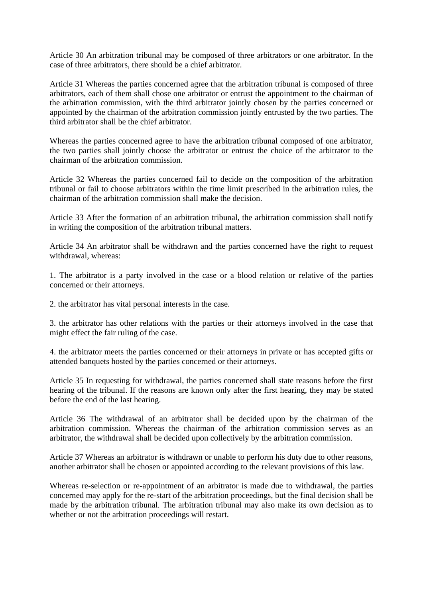Article 30 An arbitration tribunal may be composed of three arbitrators or one arbitrator. In the case of three arbitrators, there should be a chief arbitrator.

Article 31 Whereas the parties concerned agree that the arbitration tribunal is composed of three arbitrators, each of them shall chose one arbitrator or entrust the appointment to the chairman of the arbitration commission, with the third arbitrator jointly chosen by the parties concerned or appointed by the chairman of the arbitration commission jointly entrusted by the two parties. The third arbitrator shall be the chief arbitrator.

Whereas the parties concerned agree to have the arbitration tribunal composed of one arbitrator, the two parties shall jointly choose the arbitrator or entrust the choice of the arbitrator to the chairman of the arbitration commission.

Article 32 Whereas the parties concerned fail to decide on the composition of the arbitration tribunal or fail to choose arbitrators within the time limit prescribed in the arbitration rules, the chairman of the arbitration commission shall make the decision.

Article 33 After the formation of an arbitration tribunal, the arbitration commission shall notify in writing the composition of the arbitration tribunal matters.

Article 34 An arbitrator shall be withdrawn and the parties concerned have the right to request withdrawal, whereas:

1. The arbitrator is a party involved in the case or a blood relation or relative of the parties concerned or their attorneys.

2. the arbitrator has vital personal interests in the case.

3. the arbitrator has other relations with the parties or their attorneys involved in the case that might effect the fair ruling of the case.

4. the arbitrator meets the parties concerned or their attorneys in private or has accepted gifts or attended banquets hosted by the parties concerned or their attorneys.

Article 35 In requesting for withdrawal, the parties concerned shall state reasons before the first hearing of the tribunal. If the reasons are known only after the first hearing, they may be stated before the end of the last hearing.

Article 36 The withdrawal of an arbitrator shall be decided upon by the chairman of the arbitration commission. Whereas the chairman of the arbitration commission serves as an arbitrator, the withdrawal shall be decided upon collectively by the arbitration commission.

Article 37 Whereas an arbitrator is withdrawn or unable to perform his duty due to other reasons, another arbitrator shall be chosen or appointed according to the relevant provisions of this law.

Whereas re-selection or re-appointment of an arbitrator is made due to withdrawal, the parties concerned may apply for the re-start of the arbitration proceedings, but the final decision shall be made by the arbitration tribunal. The arbitration tribunal may also make its own decision as to whether or not the arbitration proceedings will restart.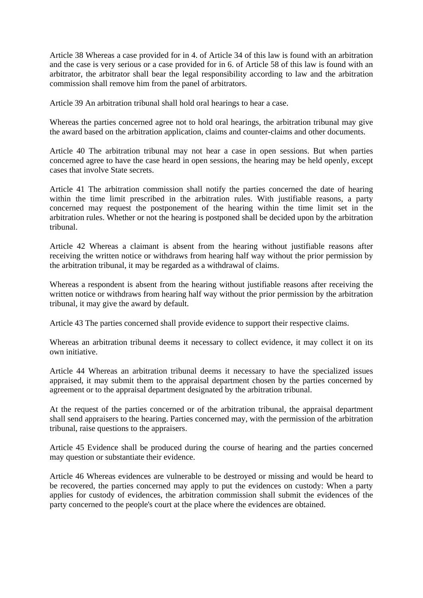Article 38 Whereas a case provided for in 4. of Article 34 of this law is found with an arbitration and the case is very serious or a case provided for in 6. of Article 58 of this law is found with an arbitrator, the arbitrator shall bear the legal responsibility according to law and the arbitration commission shall remove him from the panel of arbitrators.

Article 39 An arbitration tribunal shall hold oral hearings to hear a case.

Whereas the parties concerned agree not to hold oral hearings, the arbitration tribunal may give the award based on the arbitration application, claims and counter-claims and other documents.

Article 40 The arbitration tribunal may not hear a case in open sessions. But when parties concerned agree to have the case heard in open sessions, the hearing may be held openly, except cases that involve State secrets.

Article 41 The arbitration commission shall notify the parties concerned the date of hearing within the time limit prescribed in the arbitration rules. With justifiable reasons, a party concerned may request the postponement of the hearing within the time limit set in the arbitration rules. Whether or not the hearing is postponed shall be decided upon by the arbitration tribunal.

Article 42 Whereas a claimant is absent from the hearing without justifiable reasons after receiving the written notice or withdraws from hearing half way without the prior permission by the arbitration tribunal, it may be regarded as a withdrawal of claims.

Whereas a respondent is absent from the hearing without justifiable reasons after receiving the written notice or withdraws from hearing half way without the prior permission by the arbitration tribunal, it may give the award by default.

Article 43 The parties concerned shall provide evidence to support their respective claims.

Whereas an arbitration tribunal deems it necessary to collect evidence, it may collect it on its own initiative.

Article 44 Whereas an arbitration tribunal deems it necessary to have the specialized issues appraised, it may submit them to the appraisal department chosen by the parties concerned by agreement or to the appraisal department designated by the arbitration tribunal.

At the request of the parties concerned or of the arbitration tribunal, the appraisal department shall send appraisers to the hearing. Parties concerned may, with the permission of the arbitration tribunal, raise questions to the appraisers.

Article 45 Evidence shall be produced during the course of hearing and the parties concerned may question or substantiate their evidence.

Article 46 Whereas evidences are vulnerable to be destroyed or missing and would be heard to be recovered, the parties concerned may apply to put the evidences on custody: When a party applies for custody of evidences, the arbitration commission shall submit the evidences of the party concerned to the people's court at the place where the evidences are obtained.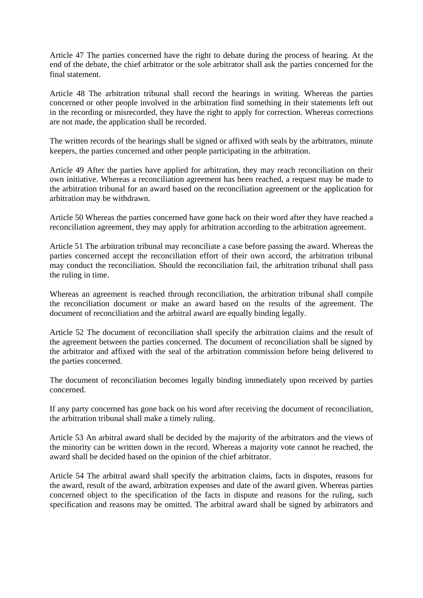Article 47 The parties concerned have the right to debate during the process of hearing. At the end of the debate, the chief arbitrator or the sole arbitrator shall ask the parties concerned for the final statement.

Article 48 The arbitration tribunal shall record the hearings in writing. Whereas the parties concerned or other people involved in the arbitration find something in their statements left out in the recording or misrecorded, they have the right to apply for correction. Whereas corrections are not made, the application shall be recorded.

The written records of the hearings shall be signed or affixed with seals by the arbitrators, minute keepers, the parties concerned and other people participating in the arbitration.

Article 49 After the parties have applied for arbitration, they may reach reconciliation on their own initiative. Whereas a reconciliation agreement has been reached, a request may be made to the arbitration tribunal for an award based on the reconciliation agreement or the application for arbitration may be withdrawn.

Article 50 Whereas the parties concerned have gone back on their word after they have reached a reconciliation agreement, they may apply for arbitration according to the arbitration agreement.

Article 51 The arbitration tribunal may reconciliate a case before passing the award. Whereas the parties concerned accept the reconciliation effort of their own accord, the arbitration tribunal may conduct the reconciliation. Should the reconciliation fail, the arbitration tribunal shall pass the ruling in time.

Whereas an agreement is reached through reconciliation, the arbitration tribunal shall compile the reconciliation document or make an award based on the results of the agreement. The document of reconciliation and the arbitral award are equally binding legally.

Article 52 The document of reconciliation shall specify the arbitration claims and the result of the agreement between the parties concerned. The document of reconciliation shall be signed by the arbitrator and affixed with the seal of the arbitration commission before being delivered to the parties concerned.

The document of reconciliation becomes legally binding immediately upon received by parties concerned.

If any party concerned has gone back on his word after receiving the document of reconciliation, the arbitration tribunal shall make a timely ruling.

Article 53 An arbitral award shall be decided by the majority of the arbitrators and the views of the minority can be written down in the record. Whereas a majority vote cannot be reached, the award shall be decided based on the opinion of the chief arbitrator.

Article 54 The arbitral award shall specify the arbitration claims, facts in disputes, reasons for the award, result of the award, arbitration expenses and date of the award given. Whereas parties concerned object to the specification of the facts in dispute and reasons for the ruling, such specification and reasons may be omitted. The arbitral award shall be signed by arbitrators and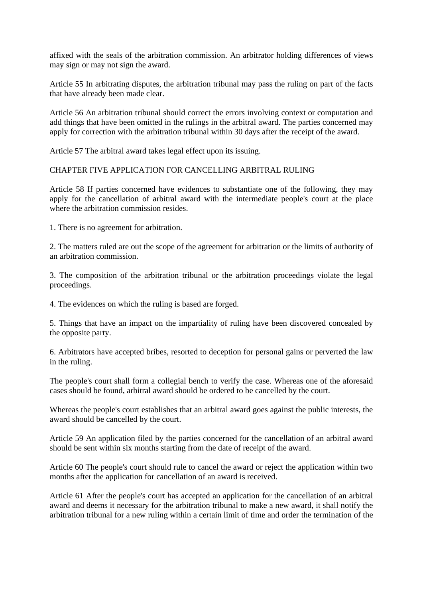affixed with the seals of the arbitration commission. An arbitrator holding differences of views may sign or may not sign the award.

Article 55 In arbitrating disputes, the arbitration tribunal may pass the ruling on part of the facts that have already been made clear.

Article 56 An arbitration tribunal should correct the errors involving context or computation and add things that have been omitted in the rulings in the arbitral award. The parties concerned may apply for correction with the arbitration tribunal within 30 days after the receipt of the award.

Article 57 The arbitral award takes legal effect upon its issuing.

### CHAPTER FIVE APPLICATION FOR CANCELLING ARBITRAL RULING

Article 58 If parties concerned have evidences to substantiate one of the following, they may apply for the cancellation of arbitral award with the intermediate people's court at the place where the arbitration commission resides

1. There is no agreement for arbitration.

2. The matters ruled are out the scope of the agreement for arbitration or the limits of authority of an arbitration commission.

3. The composition of the arbitration tribunal or the arbitration proceedings violate the legal proceedings.

4. The evidences on which the ruling is based are forged.

5. Things that have an impact on the impartiality of ruling have been discovered concealed by the opposite party.

6. Arbitrators have accepted bribes, resorted to deception for personal gains or perverted the law in the ruling.

The people's court shall form a collegial bench to verify the case. Whereas one of the aforesaid cases should be found, arbitral award should be ordered to be cancelled by the court.

Whereas the people's court establishes that an arbitral award goes against the public interests, the award should be cancelled by the court.

Article 59 An application filed by the parties concerned for the cancellation of an arbitral award should be sent within six months starting from the date of receipt of the award.

Article 60 The people's court should rule to cancel the award or reject the application within two months after the application for cancellation of an award is received.

Article 61 After the people's court has accepted an application for the cancellation of an arbitral award and deems it necessary for the arbitration tribunal to make a new award, it shall notify the arbitration tribunal for a new ruling within a certain limit of time and order the termination of the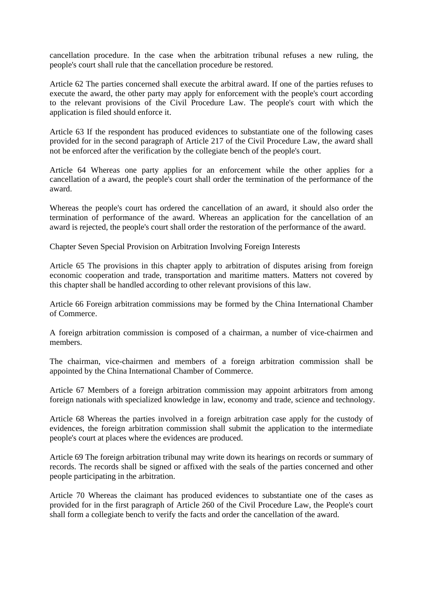cancellation procedure. In the case when the arbitration tribunal refuses a new ruling, the people's court shall rule that the cancellation procedure be restored.

Article 62 The parties concerned shall execute the arbitral award. If one of the parties refuses to execute the award, the other party may apply for enforcement with the people's court according to the relevant provisions of the Civil Procedure Law. The people's court with which the application is filed should enforce it.

Article 63 If the respondent has produced evidences to substantiate one of the following cases provided for in the second paragraph of Article 217 of the Civil Procedure Law, the award shall not be enforced after the verification by the collegiate bench of the people's court.

Article 64 Whereas one party applies for an enforcement while the other applies for a cancellation of a award, the people's court shall order the termination of the performance of the award.

Whereas the people's court has ordered the cancellation of an award, it should also order the termination of performance of the award. Whereas an application for the cancellation of an award is rejected, the people's court shall order the restoration of the performance of the award.

Chapter Seven Special Provision on Arbitration Involving Foreign Interests

Article 65 The provisions in this chapter apply to arbitration of disputes arising from foreign economic cooperation and trade, transportation and maritime matters. Matters not covered by this chapter shall be handled according to other relevant provisions of this law.

Article 66 Foreign arbitration commissions may be formed by the China International Chamber of Commerce.

A foreign arbitration commission is composed of a chairman, a number of vice-chairmen and members.

The chairman, vice-chairmen and members of a foreign arbitration commission shall be appointed by the China International Chamber of Commerce.

Article 67 Members of a foreign arbitration commission may appoint arbitrators from among foreign nationals with specialized knowledge in law, economy and trade, science and technology.

Article 68 Whereas the parties involved in a foreign arbitration case apply for the custody of evidences, the foreign arbitration commission shall submit the application to the intermediate people's court at places where the evidences are produced.

Article 69 The foreign arbitration tribunal may write down its hearings on records or summary of records. The records shall be signed or affixed with the seals of the parties concerned and other people participating in the arbitration.

Article 70 Whereas the claimant has produced evidences to substantiate one of the cases as provided for in the first paragraph of Article 260 of the Civil Procedure Law, the People's court shall form a collegiate bench to verify the facts and order the cancellation of the award.